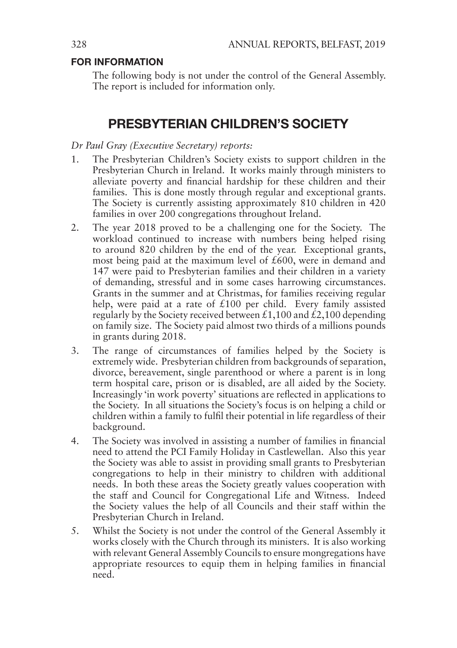### FOR INFORMATION

The following body is not under the control of the General Assembly. The report is included for information only.

### PRESBYTERIAN CHILDREN'S SOCIETY

### *Dr Paul Gray (Executive Secretary) reports:*

- 1. The Presbyterian Children's Society exists to support children in the Presbyterian Church in Ireland. It works mainly through ministers to alleviate poverty and financial hardship for these children and their families. This is done mostly through regular and exceptional grants. The Society is currently assisting approximately 810 children in 420 families in over 200 congregations throughout Ireland.
- 2. The year 2018 proved to be a challenging one for the Society. The workload continued to increase with numbers being helped rising to around 820 children by the end of the year. Exceptional grants, most being paid at the maximum level of £600, were in demand and 147 were paid to Presbyterian families and their children in a variety of demanding, stressful and in some cases harrowing circumstances. Grants in the summer and at Christmas, for families receiving regular help, were paid at a rate of  $£100$  per child. Every family assisted regularly by the Society received between £1,100 and  $\dot{\mathcal{L}}$ 2,100 depending on family size. The Society paid almost two thirds of a millions pounds in grants during 2018.
- 3. The range of circumstances of families helped by the Society is extremely wide. Presbyterian children from backgrounds of separation, divorce, bereavement, single parenthood or where a parent is in long term hospital care, prison or is disabled, are all aided by the Society. Increasingly 'in work poverty' situations are reflected in applications to the Society. In all situations the Society's focus is on helping a child or children within a family to fulfil their potential in life regardless of their background.
- 4. The Society was involved in assisting a number of families in financial need to attend the PCI Family Holiday in Castlewellan. Also this year the Society was able to assist in providing small grants to Presbyterian congregations to help in their ministry to children with additional needs. In both these areas the Society greatly values cooperation with the staff and Council for Congregational Life and Witness. Indeed the Society values the help of all Councils and their staff within the Presbyterian Church in Ireland.
- 5. Whilst the Society is not under the control of the General Assembly it works closely with the Church through its ministers. It is also working with relevant General Assembly Councils to ensure mongregations have appropriate resources to equip them in helping families in financial need.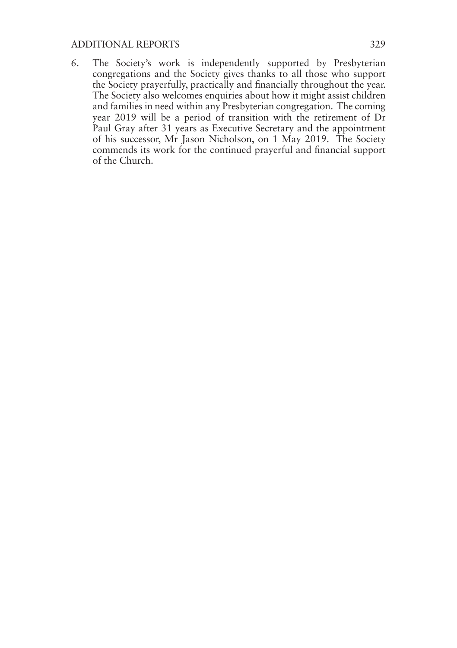#### ADDITIONAL REPORTS 329

6. The Society's work is independently supported by Presbyterian congregations and the Society gives thanks to all those who support the Society prayerfully, practically and financially throughout the year. The Society also welcomes enquiries about how it might assist children and families in need within any Presbyterian congregation. The coming year 2019 will be a period of transition with the retirement of Dr Paul Gray after 31 years as Executive Secretary and the appointment of his successor, Mr Jason Nicholson, on 1 May 2019. The Society commends its work for the continued prayerful and financial support of the Church.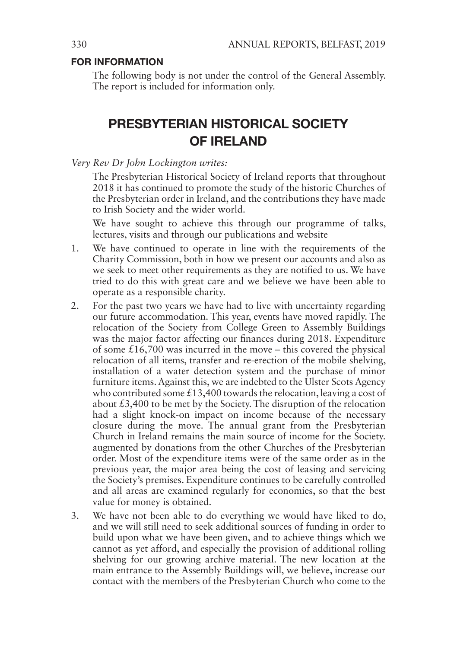### FOR INFORMATION

The following body is not under the control of the General Assembly. The report is included for information only.

## PRESBYTERIAN HISTORICAL SOCIETY OF IRELAND

*Very Rev Dr John Lockington writes:*

The Presbyterian Historical Society of Ireland reports that throughout 2018 it has continued to promote the study of the historic Churches of the Presbyterian order in Ireland, and the contributions they have made to Irish Society and the wider world.

We have sought to achieve this through our programme of talks, lectures, visits and through our publications and website

- 1. We have continued to operate in line with the requirements of the Charity Commission, both in how we present our accounts and also as we seek to meet other requirements as they are notified to us. We have tried to do this with great care and we believe we have been able to operate as a responsible charity.
- 2. For the past two years we have had to live with uncertainty regarding our future accommodation. This year, events have moved rapidly. The relocation of the Society from College Green to Assembly Buildings was the major factor affecting our finances during 2018. Expenditure of some  $£16,700$  was incurred in the move – this covered the physical relocation of all items, transfer and re-erection of the mobile shelving, installation of a water detection system and the purchase of minor furniture items. Against this, we are indebted to the Ulster Scots Agency who contributed some  $£13,400$  towards the relocation, leaving a cost of about  $£3,400$  to be met by the Society. The disruption of the relocation had a slight knock-on impact on income because of the necessary closure during the move. The annual grant from the Presbyterian Church in Ireland remains the main source of income for the Society. augmented by donations from the other Churches of the Presbyterian order. Most of the expenditure items were of the same order as in the previous year, the major area being the cost of leasing and servicing the Society's premises. Expenditure continues to be carefully controlled and all areas are examined regularly for economies, so that the best value for money is obtained.
- 3. We have not been able to do everything we would have liked to do, and we will still need to seek additional sources of funding in order to build upon what we have been given, and to achieve things which we cannot as yet afford, and especially the provision of additional rolling shelving for our growing archive material. The new location at the main entrance to the Assembly Buildings will, we believe, increase our contact with the members of the Presbyterian Church who come to the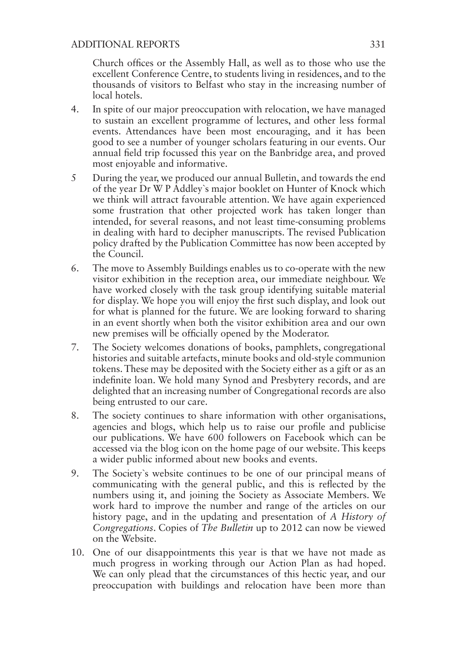### ADDITIONAL REPORTS 331

Church offices or the Assembly Hall, as well as to those who use the excellent Conference Centre, to students living in residences, and to the thousands of visitors to Belfast who stay in the increasing number of local hotels.

- 4. In spite of our major preoccupation with relocation, we have managed to sustain an excellent programme of lectures, and other less formal events. Attendances have been most encouraging, and it has been good to see a number of younger scholars featuring in our events. Our annual field trip focussed this year on the Banbridge area, and proved most enjoyable and informative.
- 5 During the year, we produced our annual Bulletin, and towards the end of the year Dr W P Addley`s major booklet on Hunter of Knock which we think will attract favourable attention. We have again experienced some frustration that other projected work has taken longer than intended, for several reasons, and not least time-consuming problems in dealing with hard to decipher manuscripts. The revised Publication policy drafted by the Publication Committee has now been accepted by the Council.
- 6. The move to Assembly Buildings enables us to co-operate with the new visitor exhibition in the reception area, our immediate neighbour. We have worked closely with the task group identifying suitable material for display. We hope you will enjoy the first such display, and look out for what is planned for the future. We are looking forward to sharing in an event shortly when both the visitor exhibition area and our own new premises will be officially opened by the Moderator.
- 7. The Society welcomes donations of books, pamphlets, congregational histories and suitable artefacts, minute books and old-style communion tokens. These may be deposited with the Society either as a gift or as an indefinite loan. We hold many Synod and Presbytery records, and are delighted that an increasing number of Congregational records are also being entrusted to our care.
- 8. The society continues to share information with other organisations, agencies and blogs, which help us to raise our profile and publicise our publications. We have 600 followers on Facebook which can be accessed via the blog icon on the home page of our website. This keeps a wider public informed about new books and events.
- 9. The Society`s website continues to be one of our principal means of communicating with the general public, and this is reflected by the numbers using it, and joining the Society as Associate Members. We work hard to improve the number and range of the articles on our history page, and in the updating and presentation of *A History of Congregations*. Copies of *The Bulletin* up to 2012 can now be viewed on the Website.
- 10. One of our disappointments this year is that we have not made as much progress in working through our Action Plan as had hoped. We can only plead that the circumstances of this hectic year, and our preoccupation with buildings and relocation have been more than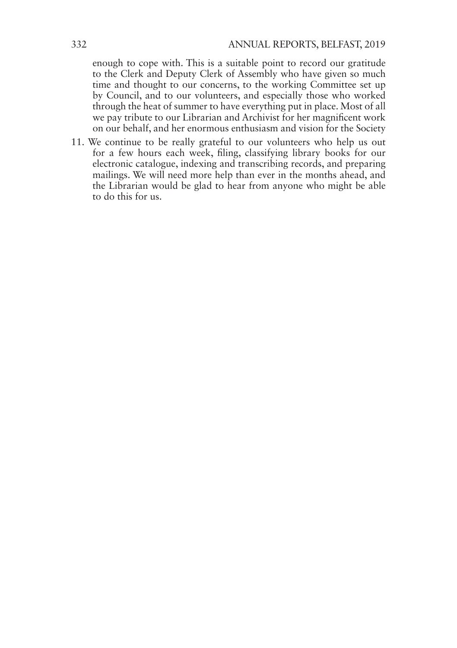enough to cope with. This is a suitable point to record our gratitude to the Clerk and Deputy Clerk of Assembly who have given so much time and thought to our concerns, to the working Committee set up by Council, and to our volunteers, and especially those who worked through the heat of summer to have everything put in place. Most of all we pay tribute to our Librarian and Archivist for her magnificent work on our behalf, and her enormous enthusiasm and vision for the Society

11. We continue to be really grateful to our volunteers who help us out for a few hours each week, filing, classifying library books for our electronic catalogue, indexing and transcribing records, and preparing mailings. We will need more help than ever in the months ahead, and the Librarian would be glad to hear from anyone who might be able to do this for us.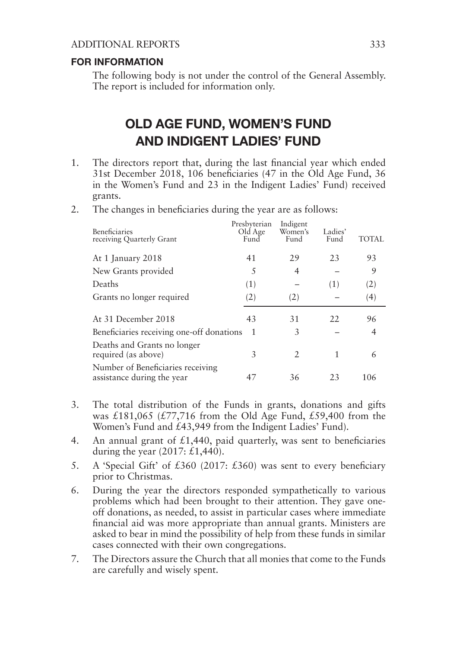### ADDITIONAL REPORTS 333

### FOR INFORMATION

The following body is not under the control of the General Assembly. The report is included for information only.

# OLD AGE FUND, WOMEN'S FUND AND INDIGENT LADIES' FUND

- 1. The directors report that, during the last financial year which ended 31st December 2018, 106 beneficiaries (47 in the Old Age Fund, 36 in the Women's Fund and 23 in the Indigent Ladies' Fund) received grants.
- 2. The changes in beneficiaries during the year are as follows:

| <b>Beneficiaries</b><br>receiving Quarterly Grant               | Presbyterian<br>Old Age<br>Fund | Indigent<br>Women's<br>Fund | Ladies'<br>Fund | TOTAL |
|-----------------------------------------------------------------|---------------------------------|-----------------------------|-----------------|-------|
| At 1 January 2018                                               | 41                              | 29                          | 23              | 93    |
| New Grants provided                                             | 5                               | 4                           |                 | 9     |
| Deaths                                                          | (1)                             |                             | (1)             | (2)   |
| Grants no longer required                                       | (2)                             | (2)                         |                 | (4)   |
| At 31 December 2018                                             | 43                              | 31                          | 22              | 96    |
| Beneficiaries receiving one-off donations                       | 1                               | 3                           |                 | 4     |
| Deaths and Grants no longer<br>required (as above)              | 3                               | $\mathcal{L}$               | 1               | 6     |
| Number of Beneficiaries receiving<br>assistance during the year | 47                              | 36                          | 23              | 106   |

- 3. The total distribution of the Funds in grants, donations and gifts was  $£181,065$  (£77,716 from the Old Age Fund, £59,400 from the Women's Fund and £43,949 from the Indigent Ladies' Fund).
- 4. An annual grant of £1,440, paid quarterly, was sent to beneficiaries during the year  $(2017; \pounds1,440)$ .
- 5. A 'Special Gift' of £360 (2017: £360) was sent to every beneficiary prior to Christmas.
- 6. During the year the directors responded sympathetically to various problems which had been brought to their attention. They gave oneoff donations, as needed, to assist in particular cases where immediate financial aid was more appropriate than annual grants. Ministers are asked to bear in mind the possibility of help from these funds in similar cases connected with their own congregations.
- 7. The Directors assure the Church that all monies that come to the Funds are carefully and wisely spent.